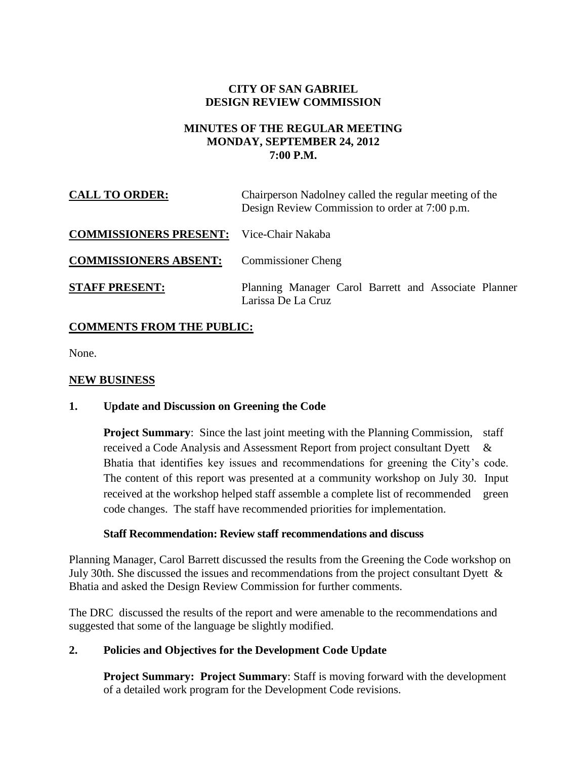# **CITY OF SAN GABRIEL DESIGN REVIEW COMMISSION**

### **MINUTES OF THE REGULAR MEETING MONDAY, SEPTEMBER 24, 2012 7:00 P.M.**

| <b>CALL TO ORDER:</b>                           | Chairperson Nadolney called the regular meeting of the<br>Design Review Commission to order at 7:00 p.m. |
|-------------------------------------------------|----------------------------------------------------------------------------------------------------------|
| <b>COMMISSIONERS PRESENT:</b> Vice-Chair Nakaba |                                                                                                          |
| <b>COMMISSIONERS ABSENT:</b>                    | <b>Commissioner Cheng</b>                                                                                |
| <b>STAFF PRESENT:</b>                           | Planning Manager Carol Barrett and Associate Planner<br>Larissa De La Cruz                               |

# **COMMENTS FROM THE PUBLIC:**

None.

# **NEW BUSINESS**

## **1. Update and Discussion on Greening the Code**

**Project Summary:** Since the last joint meeting with the Planning Commission, staff received a Code Analysis and Assessment Report from project consultant Dyett & Bhatia that identifies key issues and recommendations for greening the City's code. The content of this report was presented at a community workshop on July 30. Input received at the workshop helped staff assemble a complete list of recommended green code changes. The staff have recommended priorities for implementation.

#### **Staff Recommendation: Review staff recommendations and discuss**

Planning Manager, Carol Barrett discussed the results from the Greening the Code workshop on July 30th. She discussed the issues and recommendations from the project consultant Dyett & Bhatia and asked the Design Review Commission for further comments.

The DRC discussed the results of the report and were amenable to the recommendations and suggested that some of the language be slightly modified.

## **2. Policies and Objectives for the Development Code Update**

**Project Summary: Project Summary**: Staff is moving forward with the development of a detailed work program for the Development Code revisions.